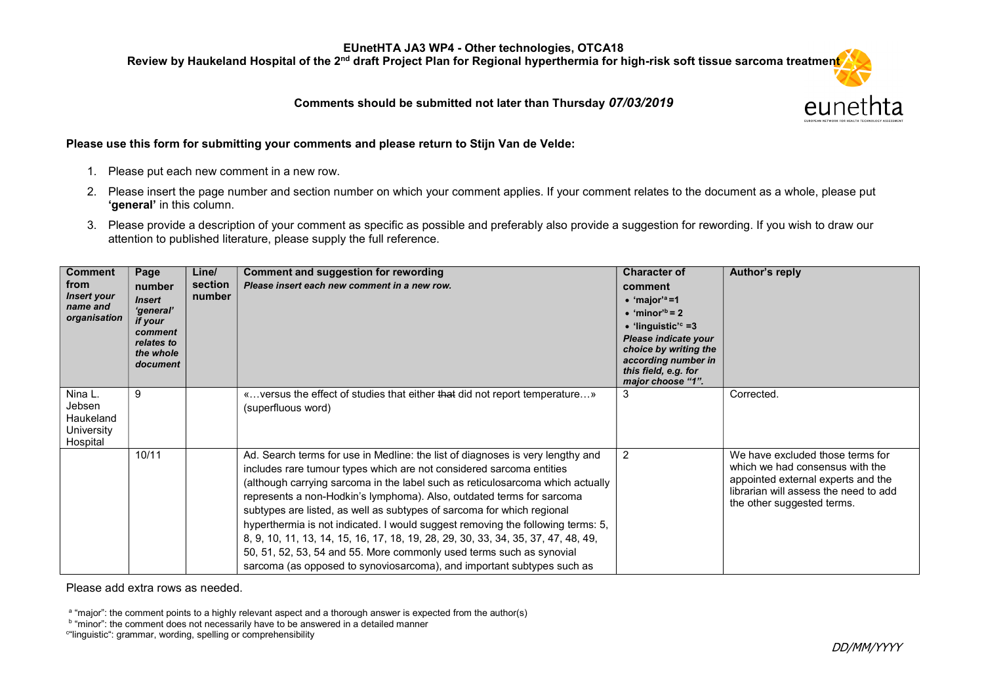Review by Haukeland Hospital of the 2<sup>nd</sup> draft Project Plan for Regional hyperthermia for high-risk soft tissue sarcoma treatment

#### Comments should be submitted not later than Thursday 07/03/2019



#### Please use this form for submitting your comments and please return to Stijn Van de Velde:

- 1. Please put each new comment in a new row.
- 2. Please insert the page number and section number on which your comment applies. If your comment relates to the document as a whole, please put 'aeneral' in this column.
- 3. Please provide a description of your comment as specific as possible and preferably also provide a suggestion for rewording. If you wish to draw our attention to published literature, please supply the full reference.

| <b>Comment</b><br>from<br><b>Insert your</b><br>name and<br>organisation | Page<br>number<br><b>Insert</b><br>'general'<br>if your<br>comment<br>relates to<br>the whole<br>document | Line/<br>section<br>number | <b>Comment and suggestion for rewording</b><br>Please insert each new comment in a new row.                                                                                                                                                                                                                                                                                                                                                                                                                                                                                                                                                                                                                           | <b>Character of</b><br>comment<br>$\bullet$ 'major' <sup>a</sup> =1<br>$\bullet$ 'minor <sup>'b</sup> = 2<br>• 'linguistic' <sup>c</sup> =3<br>Please indicate your<br>choice by writing the<br>according number in<br>this field, e.g. for<br>major choose "1". | Author's reply                                                                                                                                                                   |
|--------------------------------------------------------------------------|-----------------------------------------------------------------------------------------------------------|----------------------------|-----------------------------------------------------------------------------------------------------------------------------------------------------------------------------------------------------------------------------------------------------------------------------------------------------------------------------------------------------------------------------------------------------------------------------------------------------------------------------------------------------------------------------------------------------------------------------------------------------------------------------------------------------------------------------------------------------------------------|------------------------------------------------------------------------------------------------------------------------------------------------------------------------------------------------------------------------------------------------------------------|----------------------------------------------------------------------------------------------------------------------------------------------------------------------------------|
| Nina L.<br>Jebsen<br>Haukeland<br>University<br>Hospital                 | 9                                                                                                         |                            | « versus the effect of studies that either that did not report temperature»<br>(superfluous word)                                                                                                                                                                                                                                                                                                                                                                                                                                                                                                                                                                                                                     | 3                                                                                                                                                                                                                                                                | Corrected.                                                                                                                                                                       |
|                                                                          | 10/11                                                                                                     |                            | Ad. Search terms for use in Medline: the list of diagnoses is very lengthy and<br>includes rare tumour types which are not considered sarcoma entities<br>(although carrying sarcoma in the label such as reticulosarcoma which actually<br>represents a non-Hodkin's lymphoma). Also, outdated terms for sarcoma<br>subtypes are listed, as well as subtypes of sarcoma for which regional<br>hyperthermia is not indicated. I would suggest removing the following terms: 5,<br>8, 9, 10, 11, 13, 14, 15, 16, 17, 18, 19, 28, 29, 30, 33, 34, 35, 37, 47, 48, 49,<br>50, 51, 52, 53, 54 and 55. More commonly used terms such as synovial<br>sarcoma (as opposed to synoviosarcoma), and important subtypes such as | 2                                                                                                                                                                                                                                                                | We have excluded those terms for<br>which we had consensus with the<br>appointed external experts and the<br>librarian will assess the need to add<br>the other suggested terms. |

Please add extra rows as needed.

a "major": the comment points to a highly relevant aspect and a thorough answer is expected from the author(s)

b "minor": the comment does not necessarily have to be answered in a detailed manner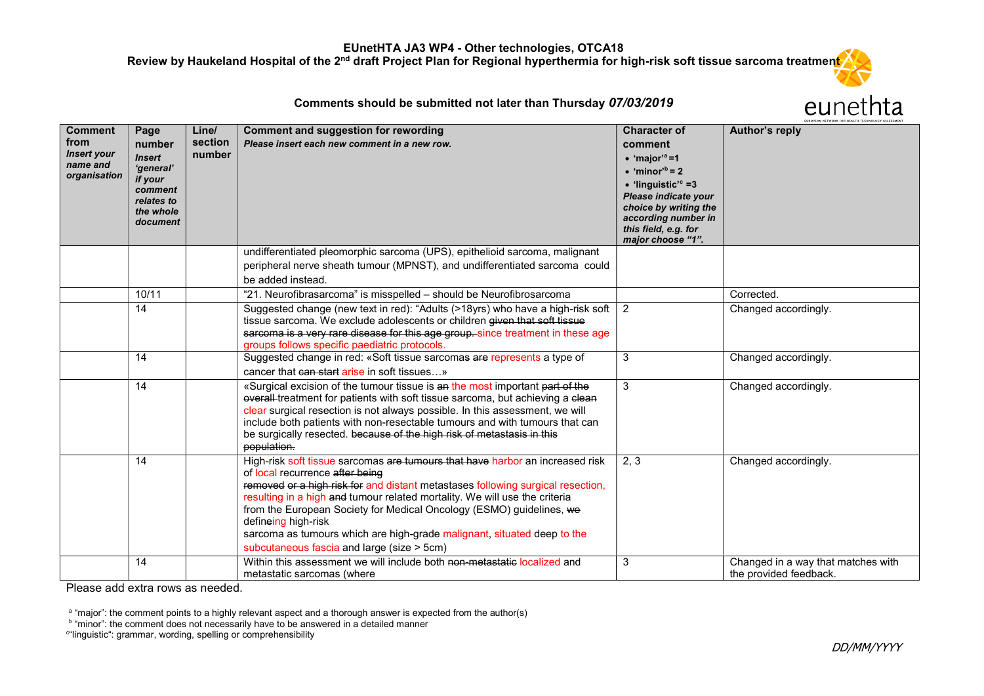Review by Haukeland Hospital of the 2<sup>nd</sup> draft Project Plan for Regional hyperthermia for high-risk soft tissue sarcoma treatmen<mark>t</mark>

#### Comments should be submitted not later than Thursday 07/03/2019

| Comment<br>from<br>Insert your<br>name and<br>organisation | Page<br>number<br><b>Insert</b><br>'general'<br>if your<br>comment<br>relates to<br>the whole<br>document | Line/<br>section<br>number | Comment and suggestion for rewording<br>Please insert each new comment in a new row.                                                                                                                                                                                                                                                                                                                                                                                                                      | <b>Character of</b><br>comment<br>$\bullet$ 'major' <sup>a</sup> =1<br>$\bullet$ 'minor' <sup>b</sup> = 2<br>$\bullet$ 'linguistic' <sup>c</sup> =3<br>Please indicate your<br>choice by writing the<br>according number in<br>this field, e.g. for<br>major choose "1". | Author's reply                                               |
|------------------------------------------------------------|-----------------------------------------------------------------------------------------------------------|----------------------------|-----------------------------------------------------------------------------------------------------------------------------------------------------------------------------------------------------------------------------------------------------------------------------------------------------------------------------------------------------------------------------------------------------------------------------------------------------------------------------------------------------------|--------------------------------------------------------------------------------------------------------------------------------------------------------------------------------------------------------------------------------------------------------------------------|--------------------------------------------------------------|
|                                                            |                                                                                                           |                            | undifferentiated pleomorphic sarcoma (UPS), epithelioid sarcoma, malignant<br>peripheral nerve sheath tumour (MPNST), and undifferentiated sarcoma could<br>be added instead.                                                                                                                                                                                                                                                                                                                             |                                                                                                                                                                                                                                                                          |                                                              |
|                                                            | 10/11                                                                                                     |                            | "21. Neurofibrasarcoma" is misspelled - should be Neurofibrosarcoma                                                                                                                                                                                                                                                                                                                                                                                                                                       |                                                                                                                                                                                                                                                                          | Corrected.                                                   |
|                                                            | 14                                                                                                        |                            | Suggested change (new text in red): "Adults (>18yrs) who have a high-risk soft<br>tissue sarcoma. We exclude adolescents or children given that soft tissue<br>sarcoma is a very rare disease for this age group. since treatment in these age<br>groups follows specific paediatric protocols.                                                                                                                                                                                                           | $\overline{2}$                                                                                                                                                                                                                                                           | Changed accordingly.                                         |
|                                                            | 14                                                                                                        |                            | Suggested change in red: «Soft tissue sarcomas are represents a type of<br>cancer that can start arise in soft tissues                                                                                                                                                                                                                                                                                                                                                                                    | 3                                                                                                                                                                                                                                                                        | Changed accordingly.                                         |
|                                                            | 14                                                                                                        |                            | «Surgical excision of the tumour tissue is an the most important part of the<br>overall-treatment for patients with soft tissue sarcoma, but achieving a clean<br>clear surgical resection is not always possible. In this assessment, we will<br>include both patients with non-resectable tumours and with tumours that can<br>be surgically resected. because of the high risk of metastasis in this<br>population.                                                                                    | 3                                                                                                                                                                                                                                                                        | Changed accordingly.                                         |
|                                                            | 14                                                                                                        |                            | High-risk soft tissue sarcomas are tumours that have harbor an increased risk<br>of local recurrence after being<br>removed or a high risk for and distant metastases following surgical resection,<br>resulting in a high and tumour related mortality. We will use the criteria<br>from the European Society for Medical Oncology (ESMO) guidelines, we<br>defineing high-risk<br>sarcoma as tumours which are high-grade malignant, situated deep to the<br>subcutaneous fascia and large (size > 5cm) | 2, 3                                                                                                                                                                                                                                                                     | Changed accordingly.                                         |
|                                                            | 14                                                                                                        |                            | Within this assessment we will include both non-metastatic localized and<br>metastatic sarcomas (where                                                                                                                                                                                                                                                                                                                                                                                                    | 3                                                                                                                                                                                                                                                                        | Changed in a way that matches with<br>the provided feedback. |

Please add extra rows as needed.

<sup>a</sup> "major": the comment points to a highly relevant aspect and a thorough answer is expected from the author(s)<br><sup>b</sup> "minor": the comment does not necessarily have to be answered in a detailed manner

c "linguistic": grammar, wording, spelling or comprehensibility

eunethta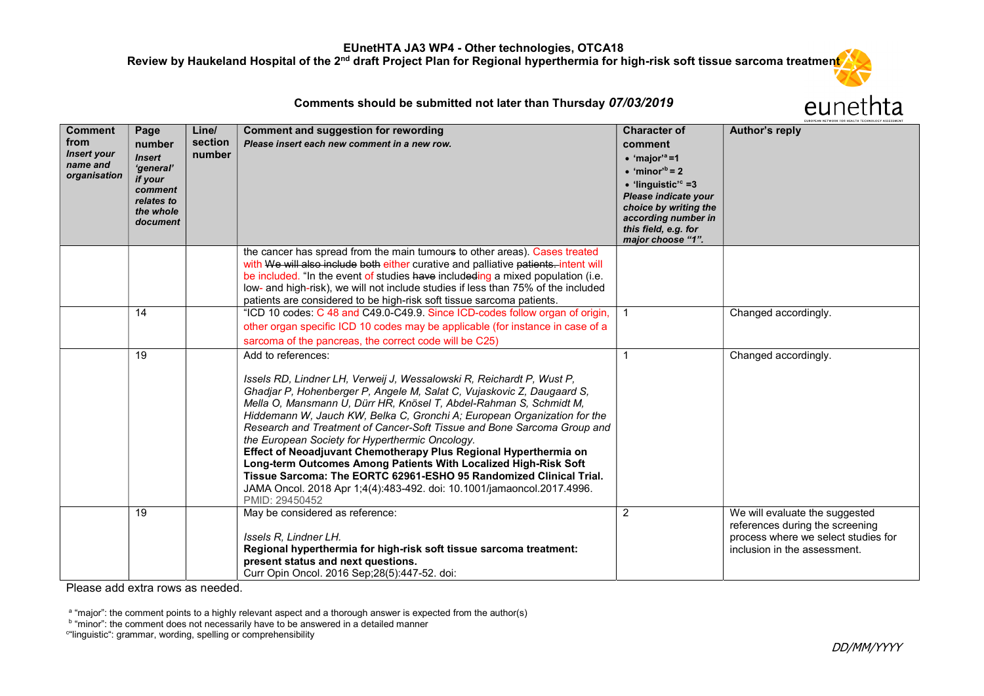Review by Haukeland Hospital of the 2<sup>nd</sup> draft Project Plan for Regional hyperthermia for high-risk soft tissue sarcoma treatment

## eunethta

| Comments should be submitted not later than Thursday 07/03/2019 |  |
|-----------------------------------------------------------------|--|
|-----------------------------------------------------------------|--|

| <b>Comment</b><br>from<br><b>Insert your</b><br>name and<br>organisation | Page<br>number<br><b>Insert</b><br>'general'<br>if your<br>comment<br>relates to<br>the whole<br>document | Line/<br>section<br>number | Comment and suggestion for rewording<br>Please insert each new comment in a new row.                                                                                                                                                                                                                                                                                                                                                                                                                                                                                                                                                                                                                                                                           | <b>Character of</b><br>comment<br>$\bullet$ 'major' <sup>a</sup> =1<br>$\bullet$ 'minor <sup>'b</sup> = 2<br>$\bullet$ 'linguistic' <sup>c</sup> =3<br>Please indicate your<br>choice by writing the<br>according number in | Author's reply                                                                                                                           |
|--------------------------------------------------------------------------|-----------------------------------------------------------------------------------------------------------|----------------------------|----------------------------------------------------------------------------------------------------------------------------------------------------------------------------------------------------------------------------------------------------------------------------------------------------------------------------------------------------------------------------------------------------------------------------------------------------------------------------------------------------------------------------------------------------------------------------------------------------------------------------------------------------------------------------------------------------------------------------------------------------------------|-----------------------------------------------------------------------------------------------------------------------------------------------------------------------------------------------------------------------------|------------------------------------------------------------------------------------------------------------------------------------------|
|                                                                          |                                                                                                           |                            |                                                                                                                                                                                                                                                                                                                                                                                                                                                                                                                                                                                                                                                                                                                                                                | this field, e.g. for<br>major choose "1".                                                                                                                                                                                   |                                                                                                                                          |
|                                                                          |                                                                                                           |                            | the cancer has spread from the main tumours to other areas). Cases treated<br>with We will also include both either curative and palliative patients. intent will<br>be included. "In the event of studies have includeding a mixed population (i.e.<br>low- and high-risk), we will not include studies if less than 75% of the included<br>patients are considered to be high-risk soft tissue sarcoma patients.                                                                                                                                                                                                                                                                                                                                             |                                                                                                                                                                                                                             |                                                                                                                                          |
|                                                                          | 14                                                                                                        |                            | "ICD 10 codes: C 48 and C49.0-C49.9. Since ICD-codes follow organ of origin,<br>other organ specific ICD 10 codes may be applicable (for instance in case of a<br>sarcoma of the pancreas, the correct code will be C25)                                                                                                                                                                                                                                                                                                                                                                                                                                                                                                                                       |                                                                                                                                                                                                                             | Changed accordingly.                                                                                                                     |
|                                                                          | 19                                                                                                        |                            | Add to references:<br>Issels RD, Lindner LH, Verweij J, Wessalowski R, Reichardt P, Wust P,<br>Ghadjar P, Hohenberger P, Angele M, Salat C, Vujaskovic Z, Daugaard S,<br>Mella O, Mansmann U, Dürr HR, Knösel T, Abdel-Rahman S, Schmidt M,<br>Hiddemann W, Jauch KW, Belka C, Gronchi A; European Organization for the<br>Research and Treatment of Cancer-Soft Tissue and Bone Sarcoma Group and<br>the European Society for Hyperthermic Oncology.<br>Effect of Neoadjuvant Chemotherapy Plus Regional Hyperthermia on<br>Long-term Outcomes Among Patients With Localized High-Risk Soft<br>Tissue Sarcoma: The EORTC 62961-ESHO 95 Randomized Clinical Trial.<br>JAMA Oncol. 2018 Apr 1;4(4):483-492. doi: 10.1001/jamaoncol.2017.4996.<br>PMID: 29450452 |                                                                                                                                                                                                                             | Changed accordingly.                                                                                                                     |
|                                                                          | 19                                                                                                        |                            | May be considered as reference:<br>Issels R, Lindner LH.<br>Regional hyperthermia for high-risk soft tissue sarcoma treatment:<br>present status and next questions.<br>Curr Opin Oncol. 2016 Sep; 28(5): 447-52. doi:                                                                                                                                                                                                                                                                                                                                                                                                                                                                                                                                         | 2                                                                                                                                                                                                                           | We will evaluate the suggested<br>references during the screening<br>process where we select studies for<br>inclusion in the assessment. |

Please add extra rows as needed.

<sup>a</sup> "major": the comment points to a highly relevant aspect and a thorough answer is expected from the author(s)<br><sup>b</sup> "minor": the comment does not necessarily have to be answered in a detailed manner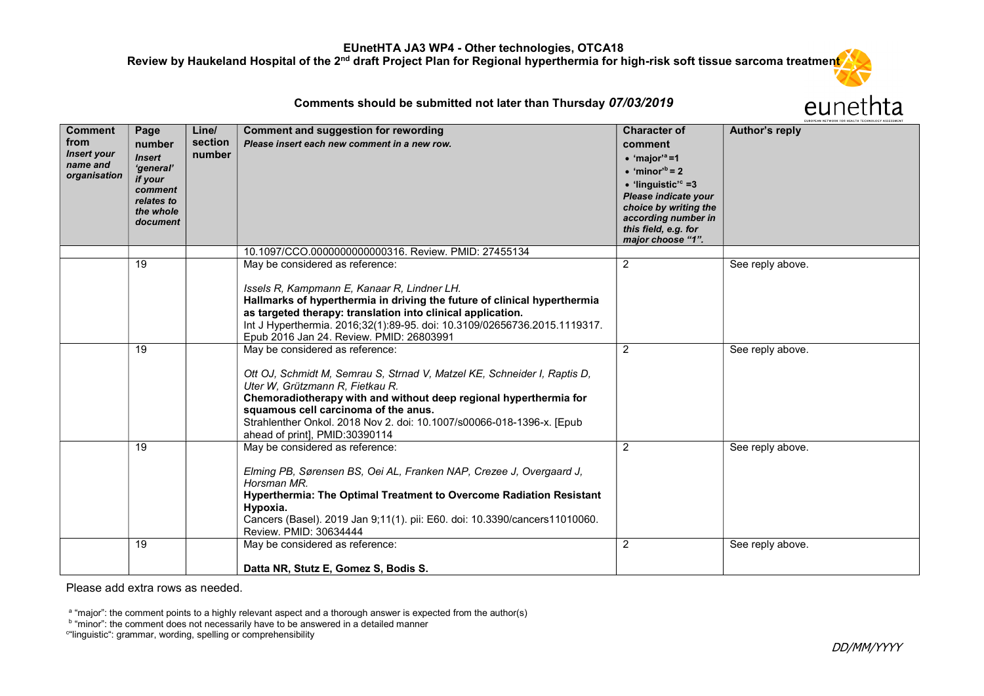Review by Haukeland Hospital of the 2<sup>nd</sup> draft Project Plan for Regional hyperthermia for high-risk soft tissue sarcoma treatment

Comments should be submitted not later than Thursday 07/03/2019

# eunethta

| <b>Comment</b><br>from<br><b>Insert your</b><br>name and<br>organisation | Page<br>number<br><b>Insert</b><br>'general'<br>if your<br>comment<br>relates to<br>the whole | Line/<br>section<br>number | Comment and suggestion for rewording<br>Please insert each new comment in a new row.                                                                                                                                                                                                                                                                                   | <b>Character of</b><br>comment<br>$\bullet$ 'major' <sup>a</sup> =1<br>$\bullet$ 'minor' <sup>b</sup> = 2<br>$\bullet$ 'linguistic' <sup>c</sup> =3<br>Please indicate your<br>choice by writing the | Author's reply   |
|--------------------------------------------------------------------------|-----------------------------------------------------------------------------------------------|----------------------------|------------------------------------------------------------------------------------------------------------------------------------------------------------------------------------------------------------------------------------------------------------------------------------------------------------------------------------------------------------------------|------------------------------------------------------------------------------------------------------------------------------------------------------------------------------------------------------|------------------|
|                                                                          | document                                                                                      |                            |                                                                                                                                                                                                                                                                                                                                                                        | according number in<br>this field, e.g. for<br>major choose "1".                                                                                                                                     |                  |
|                                                                          |                                                                                               |                            | 10.1097/CCO.0000000000000316. Review. PMID: 27455134                                                                                                                                                                                                                                                                                                                   |                                                                                                                                                                                                      |                  |
|                                                                          | 19                                                                                            |                            | May be considered as reference:<br>Issels R, Kampmann E, Kanaar R, Lindner LH.<br>Hallmarks of hyperthermia in driving the future of clinical hyperthermia<br>as targeted therapy: translation into clinical application.<br>Int J Hyperthermia. 2016;32(1):89-95. doi: 10.3109/02656736.2015.1119317.<br>Epub 2016 Jan 24. Review. PMID: 26803991                     | $\overline{2}$                                                                                                                                                                                       | See reply above. |
|                                                                          | 19                                                                                            |                            | May be considered as reference:<br>Ott OJ, Schmidt M, Semrau S, Strnad V, Matzel KE, Schneider I, Raptis D,<br>Uter W, Grützmann R, Fietkau R.<br>Chemoradiotherapy with and without deep regional hyperthermia for<br>squamous cell carcinoma of the anus.<br>Strahlenther Onkol. 2018 Nov 2. doi: 10.1007/s00066-018-1396-x. [Epub<br>ahead of print], PMID:30390114 | $\overline{2}$                                                                                                                                                                                       | See reply above. |
|                                                                          | 19                                                                                            |                            | May be considered as reference:<br>Elming PB, Sørensen BS, Oei AL, Franken NAP, Crezee J, Overgaard J,<br>Horsman MR.<br>Hyperthermia: The Optimal Treatment to Overcome Radiation Resistant<br>Hypoxia.<br>Cancers (Basel). 2019 Jan 9;11(1). pii: E60. doi: 10.3390/cancers11010060.<br>Review. PMID: 30634444                                                       | $\overline{2}$                                                                                                                                                                                       | See reply above. |
|                                                                          | 19                                                                                            |                            | May be considered as reference:<br>Datta NR, Stutz E, Gomez S, Bodis S.                                                                                                                                                                                                                                                                                                | $\overline{2}$                                                                                                                                                                                       | See reply above. |

Please add extra rows as needed.

<sup>a</sup> "major": the comment points to a highly relevant aspect and a thorough answer is expected from the author(s)<br><sup>b</sup> "minor": the comment does not necessarily have to be answered in a detailed manner